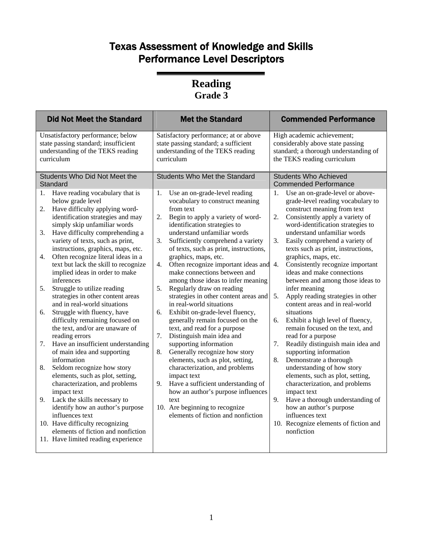| <b>Did Not Meet the Standard</b>                                                                                                                                                                                                                                                                                                                                                                                                                                                                                                                                                                                                                                                                                                                                                                                                                                                                                                                                                      | <b>Met the Standard</b>                                                                                                                                                                                                                                                                                                                                                                                                                                                                                                                                                                                                                                                                                                                                                                                                                                                                                                                                                                                      | <b>Commended Performance</b>                                                                                                                                                                                                                                                                                                                                                                                                                                                                                                                                                                                                                                                                                                                                                                                                                                                                                                                                                           |
|---------------------------------------------------------------------------------------------------------------------------------------------------------------------------------------------------------------------------------------------------------------------------------------------------------------------------------------------------------------------------------------------------------------------------------------------------------------------------------------------------------------------------------------------------------------------------------------------------------------------------------------------------------------------------------------------------------------------------------------------------------------------------------------------------------------------------------------------------------------------------------------------------------------------------------------------------------------------------------------|--------------------------------------------------------------------------------------------------------------------------------------------------------------------------------------------------------------------------------------------------------------------------------------------------------------------------------------------------------------------------------------------------------------------------------------------------------------------------------------------------------------------------------------------------------------------------------------------------------------------------------------------------------------------------------------------------------------------------------------------------------------------------------------------------------------------------------------------------------------------------------------------------------------------------------------------------------------------------------------------------------------|----------------------------------------------------------------------------------------------------------------------------------------------------------------------------------------------------------------------------------------------------------------------------------------------------------------------------------------------------------------------------------------------------------------------------------------------------------------------------------------------------------------------------------------------------------------------------------------------------------------------------------------------------------------------------------------------------------------------------------------------------------------------------------------------------------------------------------------------------------------------------------------------------------------------------------------------------------------------------------------|
| Unsatisfactory performance; below<br>state passing standard; insufficient<br>understanding of the TEKS reading<br>curriculum                                                                                                                                                                                                                                                                                                                                                                                                                                                                                                                                                                                                                                                                                                                                                                                                                                                          | Satisfactory performance; at or above<br>state passing standard; a sufficient<br>understanding of the TEKS reading<br>curriculum                                                                                                                                                                                                                                                                                                                                                                                                                                                                                                                                                                                                                                                                                                                                                                                                                                                                             | High academic achievement;<br>considerably above state passing<br>standard; a thorough understanding of<br>the TEKS reading curriculum                                                                                                                                                                                                                                                                                                                                                                                                                                                                                                                                                                                                                                                                                                                                                                                                                                                 |
| Students Who Did Not Meet the<br>Standard                                                                                                                                                                                                                                                                                                                                                                                                                                                                                                                                                                                                                                                                                                                                                                                                                                                                                                                                             | <b>Students Who Met the Standard</b>                                                                                                                                                                                                                                                                                                                                                                                                                                                                                                                                                                                                                                                                                                                                                                                                                                                                                                                                                                         | <b>Students Who Achieved</b><br><b>Commended Performance</b>                                                                                                                                                                                                                                                                                                                                                                                                                                                                                                                                                                                                                                                                                                                                                                                                                                                                                                                           |
| Have reading vocabulary that is<br>1.<br>below grade level<br>Have difficulty applying word-<br>2.<br>identification strategies and may<br>simply skip unfamiliar words<br>Have difficulty comprehending a<br>3.<br>variety of texts, such as print,<br>instructions, graphics, maps, etc.<br>Often recognize literal ideas in a<br>4.<br>text but lack the skill to recognize<br>implied ideas in order to make<br>inferences<br>Struggle to utilize reading<br>5.<br>strategies in other content areas<br>and in real-world situations<br>Struggle with fluency, have<br>6.<br>difficulty remaining focused on<br>the text, and/or are unaware of<br>reading errors<br>Have an insufficient understanding<br>7.<br>of main idea and supporting<br>information<br>Seldom recognize how story<br>8.<br>elements, such as plot, setting,<br>characterization, and problems<br>impact text<br>Lack the skills necessary to<br>9.<br>identify how an author's purpose<br>influences text | Use an on-grade-level reading<br>1.<br>vocabulary to construct meaning<br>from text<br>2.<br>Begin to apply a variety of word-<br>identification strategies to<br>understand unfamiliar words<br>3.<br>Sufficiently comprehend a variety<br>of texts, such as print, instructions,<br>graphics, maps, etc.<br>4.<br>Often recognize important ideas and<br>make connections between and<br>among those ideas to infer meaning<br>5.<br>Regularly draw on reading<br>strategies in other content areas and<br>in real-world situations<br>Exhibit on-grade-level fluency,<br>6.<br>generally remain focused on the<br>text, and read for a purpose<br>7.<br>Distinguish main idea and<br>supporting information<br>Generally recognize how story<br>8.<br>elements, such as plot, setting,<br>characterization, and problems<br>impact text<br>9.<br>Have a sufficient understanding of<br>how an author's purpose influences<br>text<br>10. Are beginning to recognize<br>elements of fiction and nonfiction | Use an on-grade-level or above-<br>1.<br>grade-level reading vocabulary to<br>construct meaning from text<br>Consistently apply a variety of<br>2.<br>word-identification strategies to<br>understand unfamiliar words<br>3.<br>Easily comprehend a variety of<br>texts such as print, instructions,<br>graphics, maps, etc.<br>$\overline{4}$ .<br>Consistently recognize important<br>ideas and make connections<br>between and among those ideas to<br>infer meaning<br>Apply reading strategies in other<br>5.<br>content areas and in real-world<br>situations<br>Exhibit a high level of fluency,<br>6.<br>remain focused on the text, and<br>read for a purpose<br>Readily distinguish main idea and<br>7.<br>supporting information<br>8.<br>Demonstrate a thorough<br>understanding of how story<br>elements, such as plot, setting,<br>characterization, and problems<br>impact text<br>9.<br>Have a thorough understanding of<br>how an author's purpose<br>influences text |
| 10. Have difficulty recognizing<br>elements of fiction and nonfiction<br>11. Have limited reading experience                                                                                                                                                                                                                                                                                                                                                                                                                                                                                                                                                                                                                                                                                                                                                                                                                                                                          |                                                                                                                                                                                                                                                                                                                                                                                                                                                                                                                                                                                                                                                                                                                                                                                                                                                                                                                                                                                                              | 10. Recognize elements of fiction and<br>nonfiction                                                                                                                                                                                                                                                                                                                                                                                                                                                                                                                                                                                                                                                                                                                                                                                                                                                                                                                                    |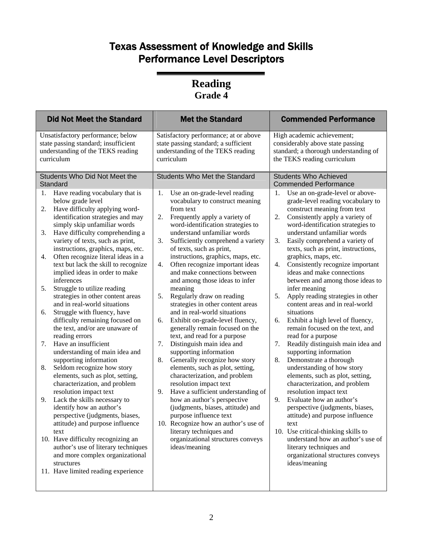| <b>Did Not Meet the Standard</b>                                                                                                                                                                                                                                                                                                                                                                                                                                                                                                                                                                                                                                                                                                                                                                                                                                                                                                                                                                                                                                                                                                      | <b>Met the Standard</b>                                                                                                                                                                                                                                                                                                                                                                                                                                                                                                                                                                                                                                                                                                                                                                                                                                                                                                                                                                                                                                                                                                                            | <b>Commended Performance</b>                                                                                                                                                                                                                                                                                                                                                                                                                                                                                                                                                                                                                                                                                                                                                                                                                                                                                                                                                                                                                                                                                                                            |
|---------------------------------------------------------------------------------------------------------------------------------------------------------------------------------------------------------------------------------------------------------------------------------------------------------------------------------------------------------------------------------------------------------------------------------------------------------------------------------------------------------------------------------------------------------------------------------------------------------------------------------------------------------------------------------------------------------------------------------------------------------------------------------------------------------------------------------------------------------------------------------------------------------------------------------------------------------------------------------------------------------------------------------------------------------------------------------------------------------------------------------------|----------------------------------------------------------------------------------------------------------------------------------------------------------------------------------------------------------------------------------------------------------------------------------------------------------------------------------------------------------------------------------------------------------------------------------------------------------------------------------------------------------------------------------------------------------------------------------------------------------------------------------------------------------------------------------------------------------------------------------------------------------------------------------------------------------------------------------------------------------------------------------------------------------------------------------------------------------------------------------------------------------------------------------------------------------------------------------------------------------------------------------------------------|---------------------------------------------------------------------------------------------------------------------------------------------------------------------------------------------------------------------------------------------------------------------------------------------------------------------------------------------------------------------------------------------------------------------------------------------------------------------------------------------------------------------------------------------------------------------------------------------------------------------------------------------------------------------------------------------------------------------------------------------------------------------------------------------------------------------------------------------------------------------------------------------------------------------------------------------------------------------------------------------------------------------------------------------------------------------------------------------------------------------------------------------------------|
| Unsatisfactory performance; below<br>state passing standard; insufficient<br>understanding of the TEKS reading<br>curriculum                                                                                                                                                                                                                                                                                                                                                                                                                                                                                                                                                                                                                                                                                                                                                                                                                                                                                                                                                                                                          | Satisfactory performance; at or above<br>state passing standard; a sufficient<br>understanding of the TEKS reading<br>curriculum                                                                                                                                                                                                                                                                                                                                                                                                                                                                                                                                                                                                                                                                                                                                                                                                                                                                                                                                                                                                                   | High academic achievement;<br>considerably above state passing<br>standard; a thorough understanding of<br>the TEKS reading curriculum                                                                                                                                                                                                                                                                                                                                                                                                                                                                                                                                                                                                                                                                                                                                                                                                                                                                                                                                                                                                                  |
| Students Who Did Not Meet the<br>Standard<br>Have reading vocabulary that is<br>1.<br>below grade level<br>Have difficulty applying word-<br>2.<br>identification strategies and may<br>simply skip unfamiliar words<br>Have difficulty comprehending a<br>3.<br>variety of texts, such as print,<br>instructions, graphics, maps, etc.<br>Often recognize literal ideas in a<br>4.<br>text but lack the skill to recognize<br>implied ideas in order to make<br>inferences<br>Struggle to utilize reading<br>5.<br>strategies in other content areas<br>and in real-world situations<br>Struggle with fluency, have<br>6.<br>difficulty remaining focused on<br>the text, and/or are unaware of<br>reading errors<br>7.<br>Have an insufficient<br>understanding of main idea and<br>supporting information<br>Seldom recognize how story<br>8.<br>elements, such as plot, setting,<br>characterization, and problem<br>resolution impact text<br>Lack the skills necessary to<br>9.<br>identify how an author's<br>perspective (judgments, biases,<br>attitude) and purpose influence<br>text<br>10. Have difficulty recognizing an | <b>Students Who Met the Standard</b><br>Use an on-grade-level reading<br>1.<br>vocabulary to construct meaning<br>from text<br>2.<br>Frequently apply a variety of<br>word-identification strategies to<br>understand unfamiliar words<br>3.<br>Sufficiently comprehend a variety<br>of texts, such as print,<br>instructions, graphics, maps, etc.<br>Often recognize important ideas<br>4.<br>and make connections between<br>and among those ideas to infer<br>meaning<br>5.<br>Regularly draw on reading<br>strategies in other content areas<br>and in real-world situations<br>Exhibit on-grade-level fluency,<br>6.<br>generally remain focused on the<br>text, and read for a purpose<br>7.<br>Distinguish main idea and<br>supporting information<br>Generally recognize how story<br>8.<br>elements, such as plot, setting,<br>characterization, and problem<br>resolution impact text<br>9.<br>Have a sufficient understanding of<br>how an author's perspective<br>(judgments, biases, attitude) and<br>purpose influence text<br>10. Recognize how an author's use of<br>literary techniques and<br>organizational structures conveys | <b>Students Who Achieved</b><br><b>Commended Performance</b><br>Use an on-grade-level or above-<br>1.<br>grade-level reading vocabulary to<br>construct meaning from text<br>2.<br>Consistently apply a variety of<br>word-identification strategies to<br>understand unfamiliar words<br>3.<br>Easily comprehend a variety of<br>texts, such as print, instructions,<br>graphics, maps, etc.<br>Consistently recognize important<br>4.<br>ideas and make connections<br>between and among those ideas to<br>infer meaning<br>Apply reading strategies in other<br>5.<br>content areas and in real-world<br>situations<br>Exhibit a high level of fluency,<br>6.<br>remain focused on the text, and<br>read for a purpose<br>7.<br>Readily distinguish main idea and<br>supporting information<br>Demonstrate a thorough<br>8.<br>understanding of how story<br>elements, such as plot, setting,<br>characterization, and problem<br>resolution impact text<br>9.<br>Evaluate how an author's<br>perspective (judgments, biases,<br>attitude) and purpose influence<br>text<br>10. Use critical-thinking skills to<br>understand how an author's use of |
| author's use of literary techniques<br>and more complex organizational<br>structures<br>11. Have limited reading experience                                                                                                                                                                                                                                                                                                                                                                                                                                                                                                                                                                                                                                                                                                                                                                                                                                                                                                                                                                                                           | ideas/meaning                                                                                                                                                                                                                                                                                                                                                                                                                                                                                                                                                                                                                                                                                                                                                                                                                                                                                                                                                                                                                                                                                                                                      | literary techniques and<br>organizational structures conveys<br>ideas/meaning                                                                                                                                                                                                                                                                                                                                                                                                                                                                                                                                                                                                                                                                                                                                                                                                                                                                                                                                                                                                                                                                           |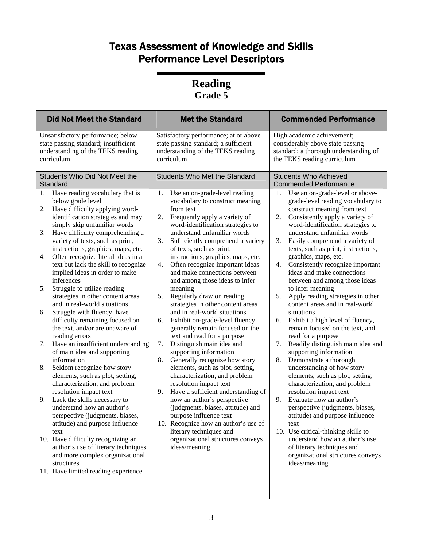| <b>Did Not Meet the Standard</b>                                                                                                                                                                                                                                                                                                                                                                                                                                                                                                                                                                                                                                                                                                                                                                                                                                                                                                                                                                                                                                                                                                                                                                                          | <b>Met the Standard</b>                                                                                                                                                                                                                                                                                                                                                                                                                                                                                                                                                                                                                                                                                                                                                                                                                                                                                                                                                                                                                                                                                                    | <b>Commended Performance</b>                                                                                                                                                                                                                                                                                                                                                                                                                                                                                                                                                                                                                                                                                                                                                                                                                                                                                                                                                                                                                                                                                                                                             |
|---------------------------------------------------------------------------------------------------------------------------------------------------------------------------------------------------------------------------------------------------------------------------------------------------------------------------------------------------------------------------------------------------------------------------------------------------------------------------------------------------------------------------------------------------------------------------------------------------------------------------------------------------------------------------------------------------------------------------------------------------------------------------------------------------------------------------------------------------------------------------------------------------------------------------------------------------------------------------------------------------------------------------------------------------------------------------------------------------------------------------------------------------------------------------------------------------------------------------|----------------------------------------------------------------------------------------------------------------------------------------------------------------------------------------------------------------------------------------------------------------------------------------------------------------------------------------------------------------------------------------------------------------------------------------------------------------------------------------------------------------------------------------------------------------------------------------------------------------------------------------------------------------------------------------------------------------------------------------------------------------------------------------------------------------------------------------------------------------------------------------------------------------------------------------------------------------------------------------------------------------------------------------------------------------------------------------------------------------------------|--------------------------------------------------------------------------------------------------------------------------------------------------------------------------------------------------------------------------------------------------------------------------------------------------------------------------------------------------------------------------------------------------------------------------------------------------------------------------------------------------------------------------------------------------------------------------------------------------------------------------------------------------------------------------------------------------------------------------------------------------------------------------------------------------------------------------------------------------------------------------------------------------------------------------------------------------------------------------------------------------------------------------------------------------------------------------------------------------------------------------------------------------------------------------|
| Unsatisfactory performance; below<br>state passing standard; insufficient<br>understanding of the TEKS reading<br>curriculum                                                                                                                                                                                                                                                                                                                                                                                                                                                                                                                                                                                                                                                                                                                                                                                                                                                                                                                                                                                                                                                                                              | Satisfactory performance; at or above<br>state passing standard; a sufficient<br>understanding of the TEKS reading<br>curriculum                                                                                                                                                                                                                                                                                                                                                                                                                                                                                                                                                                                                                                                                                                                                                                                                                                                                                                                                                                                           | High academic achievement;<br>considerably above state passing<br>standard; a thorough understanding of<br>the TEKS reading curriculum                                                                                                                                                                                                                                                                                                                                                                                                                                                                                                                                                                                                                                                                                                                                                                                                                                                                                                                                                                                                                                   |
| Students Who Did Not Meet the<br>Standard                                                                                                                                                                                                                                                                                                                                                                                                                                                                                                                                                                                                                                                                                                                                                                                                                                                                                                                                                                                                                                                                                                                                                                                 | <b>Students Who Met the Standard</b>                                                                                                                                                                                                                                                                                                                                                                                                                                                                                                                                                                                                                                                                                                                                                                                                                                                                                                                                                                                                                                                                                       | <b>Students Who Achieved</b><br><b>Commended Performance</b>                                                                                                                                                                                                                                                                                                                                                                                                                                                                                                                                                                                                                                                                                                                                                                                                                                                                                                                                                                                                                                                                                                             |
| Have reading vocabulary that is<br>1.<br>below grade level<br>Have difficulty applying word-<br>2.<br>identification strategies and may<br>simply skip unfamiliar words<br>Have difficulty comprehending a<br>3.<br>variety of texts, such as print,<br>instructions, graphics, maps, etc.<br>Often recognize literal ideas in a<br>4.<br>text but lack the skill to recognize<br>implied ideas in order to make<br>inferences<br>Struggle to utilize reading<br>5.<br>strategies in other content areas<br>and in real-world situations<br>Struggle with fluency, have<br>6.<br>difficulty remaining focused on<br>the text, and/or are unaware of<br>reading errors<br>Have an insufficient understanding<br>7.<br>of main idea and supporting<br>information<br>Seldom recognize how story<br>8.<br>elements, such as plot, setting,<br>characterization, and problem<br>resolution impact text<br>Lack the skills necessary to<br>9.<br>understand how an author's<br>perspective (judgments, biases,<br>attitude) and purpose influence<br>text<br>10. Have difficulty recognizing an<br>author's use of literary techniques<br>and more complex organizational<br>structures<br>11. Have limited reading experience | Use an on-grade-level reading<br>1.<br>vocabulary to construct meaning<br>from text<br>2.<br>Frequently apply a variety of<br>word-identification strategies to<br>understand unfamiliar words<br>3.<br>Sufficiently comprehend a variety<br>of texts, such as print,<br>instructions, graphics, maps, etc.<br>Often recognize important ideas<br>4.<br>and make connections between<br>and among those ideas to infer<br>meaning<br>5.<br>Regularly draw on reading<br>strategies in other content areas<br>and in real-world situations<br>Exhibit on-grade-level fluency,<br>6.<br>generally remain focused on the<br>text and read for a purpose<br>7.<br>Distinguish main idea and<br>supporting information<br>8.<br>Generally recognize how story<br>elements, such as plot, setting,<br>characterization, and problem<br>resolution impact text<br>Have a sufficient understanding of<br>9.<br>how an author's perspective<br>(judgments, biases, attitude) and<br>purpose influence text<br>10. Recognize how an author's use of<br>literary techniques and<br>organizational structures conveys<br>ideas/meaning | Use an on-grade-level or above-<br>1.<br>grade-level reading vocabulary to<br>construct meaning from text<br>Consistently apply a variety of<br>2.<br>word-identification strategies to<br>understand unfamiliar words<br>Easily comprehend a variety of<br>3.<br>texts, such as print, instructions,<br>graphics, maps, etc.<br>Consistently recognize important<br>4.<br>ideas and make connections<br>between and among those ideas<br>to infer meaning<br>Apply reading strategies in other<br>5.<br>content areas and in real-world<br>situations<br>Exhibit a high level of fluency,<br>6.<br>remain focused on the text, and<br>read for a purpose<br>7.<br>Readily distinguish main idea and<br>supporting information<br>8.<br>Demonstrate a thorough<br>understanding of how story<br>elements, such as plot, setting,<br>characterization, and problem<br>resolution impact text<br>Evaluate how an author's<br>9.<br>perspective (judgments, biases,<br>attitude) and purpose influence<br>text<br>10. Use critical-thinking skills to<br>understand how an author's use<br>of literary techniques and<br>organizational structures conveys<br>ideas/meaning |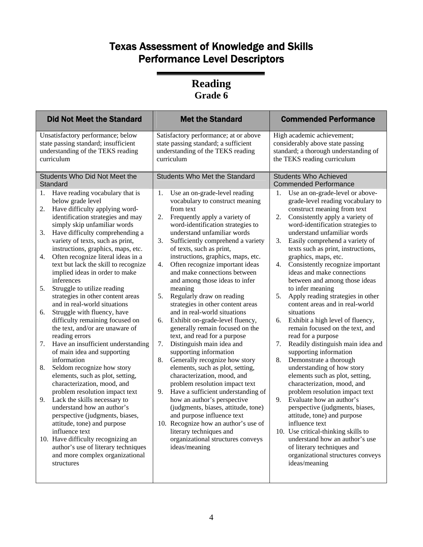| <b>Did Not Meet the Standard</b>                                                                                                                                                                                                                                                                                                                                                                                                                                                                                                                                                                                                                                                                                                                                                                                                                                                                                                                                                                                                                                                                       | <b>Met the Standard</b>                                                                                                                                                                                                                                                                                                                                                                                                                                                                                                                                                                                                                                                                                                                                                                                                                                                                                                                                                                                                                                                                                                | <b>Commended Performance</b>                                                                                                                                                                                                                                                                                                                                                                                                                                                                                                                                                                                                                                                                                                                                                                                                                                                                                                                                                                                                                                                                   |
|--------------------------------------------------------------------------------------------------------------------------------------------------------------------------------------------------------------------------------------------------------------------------------------------------------------------------------------------------------------------------------------------------------------------------------------------------------------------------------------------------------------------------------------------------------------------------------------------------------------------------------------------------------------------------------------------------------------------------------------------------------------------------------------------------------------------------------------------------------------------------------------------------------------------------------------------------------------------------------------------------------------------------------------------------------------------------------------------------------|------------------------------------------------------------------------------------------------------------------------------------------------------------------------------------------------------------------------------------------------------------------------------------------------------------------------------------------------------------------------------------------------------------------------------------------------------------------------------------------------------------------------------------------------------------------------------------------------------------------------------------------------------------------------------------------------------------------------------------------------------------------------------------------------------------------------------------------------------------------------------------------------------------------------------------------------------------------------------------------------------------------------------------------------------------------------------------------------------------------------|------------------------------------------------------------------------------------------------------------------------------------------------------------------------------------------------------------------------------------------------------------------------------------------------------------------------------------------------------------------------------------------------------------------------------------------------------------------------------------------------------------------------------------------------------------------------------------------------------------------------------------------------------------------------------------------------------------------------------------------------------------------------------------------------------------------------------------------------------------------------------------------------------------------------------------------------------------------------------------------------------------------------------------------------------------------------------------------------|
| Unsatisfactory performance; below<br>state passing standard; insufficient<br>understanding of the TEKS reading<br>curriculum                                                                                                                                                                                                                                                                                                                                                                                                                                                                                                                                                                                                                                                                                                                                                                                                                                                                                                                                                                           | Satisfactory performance; at or above<br>state passing standard; a sufficient<br>understanding of the TEKS reading<br>curriculum                                                                                                                                                                                                                                                                                                                                                                                                                                                                                                                                                                                                                                                                                                                                                                                                                                                                                                                                                                                       | High academic achievement;<br>considerably above state passing<br>standard; a thorough understanding of<br>the TEKS reading curriculum                                                                                                                                                                                                                                                                                                                                                                                                                                                                                                                                                                                                                                                                                                                                                                                                                                                                                                                                                         |
| Students Who Did Not Meet the<br>Standard                                                                                                                                                                                                                                                                                                                                                                                                                                                                                                                                                                                                                                                                                                                                                                                                                                                                                                                                                                                                                                                              | <b>Students Who Met the Standard</b>                                                                                                                                                                                                                                                                                                                                                                                                                                                                                                                                                                                                                                                                                                                                                                                                                                                                                                                                                                                                                                                                                   | <b>Students Who Achieved</b><br><b>Commended Performance</b>                                                                                                                                                                                                                                                                                                                                                                                                                                                                                                                                                                                                                                                                                                                                                                                                                                                                                                                                                                                                                                   |
| Have reading vocabulary that is<br>1.<br>below grade level<br>Have difficulty applying word-<br>2.<br>identification strategies and may<br>simply skip unfamiliar words<br>Have difficulty comprehending a<br>3.<br>variety of texts, such as print,<br>instructions, graphics, maps, etc.<br>Often recognize literal ideas in a<br>4.<br>text but lack the skill to recognize<br>implied ideas in order to make<br>inferences<br>Struggle to utilize reading<br>5.<br>strategies in other content areas<br>and in real-world situations<br>Struggle with fluency, have<br>6.<br>difficulty remaining focused on<br>the text, and/or are unaware of<br>reading errors<br>Have an insufficient understanding<br>7.<br>of main idea and supporting<br>information<br>Seldom recognize how story<br>8.<br>elements, such as plot, setting,<br>characterization, mood, and<br>problem resolution impact text<br>Lack the skills necessary to<br>9.<br>understand how an author's<br>perspective (judgments, biases,<br>attitude, tone) and purpose<br>influence text<br>10. Have difficulty recognizing an | 1.<br>Use an on-grade-level reading<br>vocabulary to construct meaning<br>from text<br>2.<br>Frequently apply a variety of<br>word-identification strategies to<br>understand unfamiliar words<br>3.<br>Sufficiently comprehend a variety<br>of texts, such as print,<br>instructions, graphics, maps, etc.<br>Often recognize important ideas<br>4.<br>and make connections between<br>and among those ideas to infer<br>meaning<br>5.<br>Regularly draw on reading<br>strategies in other content areas<br>and in real-world situations<br>Exhibit on-grade-level fluency,<br>6.<br>generally remain focused on the<br>text, and read for a purpose<br>7.<br>Distinguish main idea and<br>supporting information<br>Generally recognize how story<br>8.<br>elements, such as plot, setting,<br>characterization, mood, and<br>problem resolution impact text<br>9.<br>Have a sufficient understanding of<br>how an author's perspective<br>(judgments, biases, attitude, tone)<br>and purpose influence text<br>10. Recognize how an author's use of<br>literary techniques and<br>organizational structures conveys | Use an on-grade-level or above-<br>1.<br>grade-level reading vocabulary to<br>construct meaning from text<br>Consistently apply a variety of<br>2.<br>word-identification strategies to<br>understand unfamiliar words<br>3.<br>Easily comprehend a variety of<br>texts such as print, instructions,<br>graphics, maps, etc.<br>Consistently recognize important<br>4.<br>ideas and make connections<br>between and among those ideas<br>to infer meaning<br>Apply reading strategies in other<br>5.<br>content areas and in real-world<br>situations<br>Exhibit a high level of fluency,<br>6.<br>remain focused on the text, and<br>read for a purpose<br>Readily distinguish main idea and<br>7.<br>supporting information<br>8.<br>Demonstrate a thorough<br>understanding of how story<br>elements such as plot, setting,<br>characterization, mood, and<br>problem resolution impact text<br>Evaluate how an author's<br>9.<br>perspective (judgments, biases,<br>attitude, tone) and purpose<br>influence text<br>10. Use critical-thinking skills to<br>understand how an author's use |
| author's use of literary techniques<br>and more complex organizational<br>structures                                                                                                                                                                                                                                                                                                                                                                                                                                                                                                                                                                                                                                                                                                                                                                                                                                                                                                                                                                                                                   | ideas/meaning                                                                                                                                                                                                                                                                                                                                                                                                                                                                                                                                                                                                                                                                                                                                                                                                                                                                                                                                                                                                                                                                                                          | of literary techniques and<br>organizational structures conveys<br>ideas/meaning                                                                                                                                                                                                                                                                                                                                                                                                                                                                                                                                                                                                                                                                                                                                                                                                                                                                                                                                                                                                               |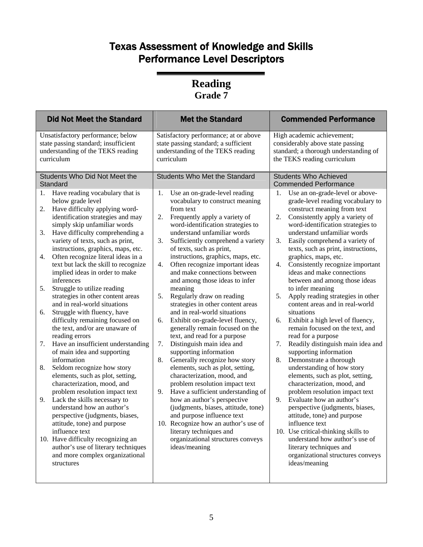| <b>Did Not Meet the Standard</b>                                                                                                                                                                                                                                                                                                                                                                                                                                                                                                                                                                                                                                                                                                                                                                                                                                                                                                                                                                                                                                                                                                                          | <b>Met the Standard</b>                                                                                                                                                                                                                                                                                                                                                                                                                                                                                                                                                                                                                                                                                                                                                                                                                                                                                                                                                                                                                                                                                                                 | <b>Commended Performance</b>                                                                                                                                                                                                                                                                                                                                                                                                                                                                                                                                                                                                                                                                                                                                                                                                                                                                                                                                                                                                                                                                                                |
|-----------------------------------------------------------------------------------------------------------------------------------------------------------------------------------------------------------------------------------------------------------------------------------------------------------------------------------------------------------------------------------------------------------------------------------------------------------------------------------------------------------------------------------------------------------------------------------------------------------------------------------------------------------------------------------------------------------------------------------------------------------------------------------------------------------------------------------------------------------------------------------------------------------------------------------------------------------------------------------------------------------------------------------------------------------------------------------------------------------------------------------------------------------|-----------------------------------------------------------------------------------------------------------------------------------------------------------------------------------------------------------------------------------------------------------------------------------------------------------------------------------------------------------------------------------------------------------------------------------------------------------------------------------------------------------------------------------------------------------------------------------------------------------------------------------------------------------------------------------------------------------------------------------------------------------------------------------------------------------------------------------------------------------------------------------------------------------------------------------------------------------------------------------------------------------------------------------------------------------------------------------------------------------------------------------------|-----------------------------------------------------------------------------------------------------------------------------------------------------------------------------------------------------------------------------------------------------------------------------------------------------------------------------------------------------------------------------------------------------------------------------------------------------------------------------------------------------------------------------------------------------------------------------------------------------------------------------------------------------------------------------------------------------------------------------------------------------------------------------------------------------------------------------------------------------------------------------------------------------------------------------------------------------------------------------------------------------------------------------------------------------------------------------------------------------------------------------|
| Unsatisfactory performance; below<br>state passing standard; insufficient<br>understanding of the TEKS reading<br>curriculum                                                                                                                                                                                                                                                                                                                                                                                                                                                                                                                                                                                                                                                                                                                                                                                                                                                                                                                                                                                                                              | Satisfactory performance; at or above<br>state passing standard; a sufficient<br>understanding of the TEKS reading<br>curriculum                                                                                                                                                                                                                                                                                                                                                                                                                                                                                                                                                                                                                                                                                                                                                                                                                                                                                                                                                                                                        | High academic achievement;<br>considerably above state passing<br>standard; a thorough understanding of<br>the TEKS reading curriculum                                                                                                                                                                                                                                                                                                                                                                                                                                                                                                                                                                                                                                                                                                                                                                                                                                                                                                                                                                                      |
| Students Who Did Not Meet the                                                                                                                                                                                                                                                                                                                                                                                                                                                                                                                                                                                                                                                                                                                                                                                                                                                                                                                                                                                                                                                                                                                             | <b>Students Who Met the Standard</b>                                                                                                                                                                                                                                                                                                                                                                                                                                                                                                                                                                                                                                                                                                                                                                                                                                                                                                                                                                                                                                                                                                    | <b>Students Who Achieved</b><br><b>Commended Performance</b>                                                                                                                                                                                                                                                                                                                                                                                                                                                                                                                                                                                                                                                                                                                                                                                                                                                                                                                                                                                                                                                                |
| Standard<br>Have reading vocabulary that is<br>1.<br>below grade level<br>Have difficulty applying word-<br>2.<br>identification strategies and may<br>simply skip unfamiliar words<br>Have difficulty comprehending a<br>3.<br>variety of texts, such as print,<br>instructions, graphics, maps, etc.<br>Often recognize literal ideas in a<br>4.<br>text but lack the skill to recognize<br>implied ideas in order to make<br>inferences<br>5.<br>Struggle to utilize reading<br>strategies in other content areas<br>and in real-world situations<br>Struggle with fluency, have<br>6.<br>difficulty remaining focused on<br>the text, and/or are unaware of<br>reading errors<br>Have an insufficient understanding<br>7.<br>of main idea and supporting<br>information<br>Seldom recognize how story<br>8.<br>elements, such as plot, setting,<br>characterization, mood, and<br>problem resolution impact text<br>Lack the skills necessary to<br>9.<br>understand how an author's<br>perspective (judgments, biases,<br>attitude, tone) and purpose<br>influence text<br>10. Have difficulty recognizing an<br>author's use of literary techniques | Use an on-grade-level reading<br>1.<br>vocabulary to construct meaning<br>from text<br>2.<br>Frequently apply a variety of<br>word-identification strategies to<br>understand unfamiliar words<br>3.<br>Sufficiently comprehend a variety<br>of texts, such as print,<br>instructions, graphics, maps, etc.<br>Often recognize important ideas<br>4.<br>and make connections between<br>and among those ideas to infer<br>meaning<br>5.<br>Regularly draw on reading<br>strategies in other content areas<br>and in real-world situations<br>Exhibit on-grade-level fluency,<br>6.<br>generally remain focused on the<br>text, and read for a purpose<br>7.<br>Distinguish main idea and<br>supporting information<br>Generally recognize how story<br>8.<br>elements, such as plot, setting,<br>characterization, mood, and<br>problem resolution impact text<br>9.<br>Have a sufficient understanding of<br>how an author's perspective<br>(judgments, biases, attitude, tone)<br>and purpose influence text<br>10. Recognize how an author's use of<br>literary techniques and<br>organizational structures conveys<br>ideas/meaning | Use an on-grade-level or above-<br>1.<br>grade-level reading vocabulary to<br>construct meaning from text<br>Consistently apply a variety of<br>2.<br>word-identification strategies to<br>understand unfamiliar words<br>3.<br>Easily comprehend a variety of<br>texts, such as print, instructions,<br>graphics, maps, etc.<br>Consistently recognize important<br>4.<br>ideas and make connections<br>between and among those ideas<br>to infer meaning<br>Apply reading strategies in other<br>5.<br>content areas and in real-world<br>situations<br>Exhibit a high level of fluency,<br>6.<br>remain focused on the text, and<br>read for a purpose<br>Readily distinguish main idea and<br>7.<br>supporting information<br>8.<br>Demonstrate a thorough<br>understanding of how story<br>elements, such as plot, setting,<br>characterization, mood, and<br>problem resolution impact text<br>9.<br>Evaluate how an author's<br>perspective (judgments, biases,<br>attitude, tone) and purpose<br>influence text<br>10. Use critical-thinking skills to<br>understand how author's use of<br>literary techniques and |
| and more complex organizational<br>structures                                                                                                                                                                                                                                                                                                                                                                                                                                                                                                                                                                                                                                                                                                                                                                                                                                                                                                                                                                                                                                                                                                             |                                                                                                                                                                                                                                                                                                                                                                                                                                                                                                                                                                                                                                                                                                                                                                                                                                                                                                                                                                                                                                                                                                                                         | organizational structures conveys<br>ideas/meaning                                                                                                                                                                                                                                                                                                                                                                                                                                                                                                                                                                                                                                                                                                                                                                                                                                                                                                                                                                                                                                                                          |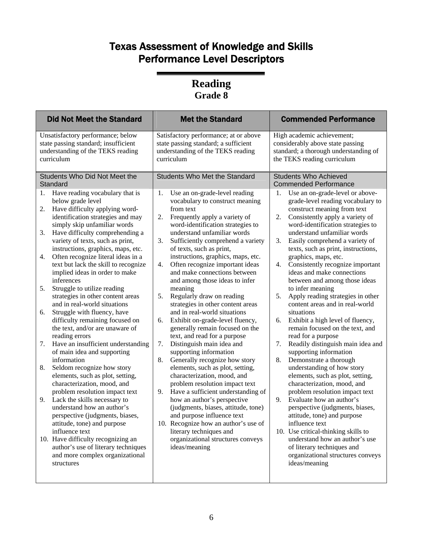| <b>Did Not Meet the Standard</b>                                                                                                                                                                                                                                                                                                                                                                                                                                                                                                                                                                                                                                                                                                                                                                                                                                                                                                                                                                                                                                                                                                                                                               | <b>Met the Standard</b>                                                                                                                                                                                                                                                                                                                                                                                                                                                                                                                                                                                                                                                                                                                                                                                                                                                                                                                                                                                                                                                                                                                 | <b>Commended Performance</b>                                                                                                                                                                                                                                                                                                                                                                                                                                                                                                                                                                                                                                                                                                                                                                                                                                                                                                                                                                                                                                                                                                                                                         |
|------------------------------------------------------------------------------------------------------------------------------------------------------------------------------------------------------------------------------------------------------------------------------------------------------------------------------------------------------------------------------------------------------------------------------------------------------------------------------------------------------------------------------------------------------------------------------------------------------------------------------------------------------------------------------------------------------------------------------------------------------------------------------------------------------------------------------------------------------------------------------------------------------------------------------------------------------------------------------------------------------------------------------------------------------------------------------------------------------------------------------------------------------------------------------------------------|-----------------------------------------------------------------------------------------------------------------------------------------------------------------------------------------------------------------------------------------------------------------------------------------------------------------------------------------------------------------------------------------------------------------------------------------------------------------------------------------------------------------------------------------------------------------------------------------------------------------------------------------------------------------------------------------------------------------------------------------------------------------------------------------------------------------------------------------------------------------------------------------------------------------------------------------------------------------------------------------------------------------------------------------------------------------------------------------------------------------------------------------|--------------------------------------------------------------------------------------------------------------------------------------------------------------------------------------------------------------------------------------------------------------------------------------------------------------------------------------------------------------------------------------------------------------------------------------------------------------------------------------------------------------------------------------------------------------------------------------------------------------------------------------------------------------------------------------------------------------------------------------------------------------------------------------------------------------------------------------------------------------------------------------------------------------------------------------------------------------------------------------------------------------------------------------------------------------------------------------------------------------------------------------------------------------------------------------|
| Unsatisfactory performance; below<br>state passing standard; insufficient<br>understanding of the TEKS reading<br>curriculum                                                                                                                                                                                                                                                                                                                                                                                                                                                                                                                                                                                                                                                                                                                                                                                                                                                                                                                                                                                                                                                                   | Satisfactory performance; at or above<br>state passing standard; a sufficient<br>understanding of the TEKS reading<br>curriculum                                                                                                                                                                                                                                                                                                                                                                                                                                                                                                                                                                                                                                                                                                                                                                                                                                                                                                                                                                                                        | High academic achievement;<br>considerably above state passing<br>standard; a thorough understanding of<br>the TEKS reading curriculum                                                                                                                                                                                                                                                                                                                                                                                                                                                                                                                                                                                                                                                                                                                                                                                                                                                                                                                                                                                                                                               |
| Students Who Did Not Meet the<br>Standard                                                                                                                                                                                                                                                                                                                                                                                                                                                                                                                                                                                                                                                                                                                                                                                                                                                                                                                                                                                                                                                                                                                                                      | <b>Students Who Met the Standard</b>                                                                                                                                                                                                                                                                                                                                                                                                                                                                                                                                                                                                                                                                                                                                                                                                                                                                                                                                                                                                                                                                                                    | <b>Students Who Achieved</b><br><b>Commended Performance</b>                                                                                                                                                                                                                                                                                                                                                                                                                                                                                                                                                                                                                                                                                                                                                                                                                                                                                                                                                                                                                                                                                                                         |
| Have reading vocabulary that is<br>1.<br>below grade level<br>Have difficulty applying word-<br>2.<br>identification strategies and may<br>simply skip unfamiliar words<br>Have difficulty comprehending a<br>3.<br>variety of texts, such as print,<br>instructions, graphics, maps, etc.<br>Often recognize literal ideas in a<br>4.<br>text but lack the skill to recognize<br>implied ideas in order to make<br>inferences<br>Struggle to utilize reading<br>5.<br>strategies in other content areas<br>and in real-world situations<br>Struggle with fluency, have<br>6.<br>difficulty remaining focused on<br>the text, and/or are unaware of<br>reading errors<br>Have an insufficient understanding<br>7.<br>of main idea and supporting<br>information<br>Seldom recognize how story<br>8.<br>elements, such as plot, setting,<br>characterization, mood, and<br>problem resolution impact text<br>9.<br>Lack the skills necessary to<br>understand how an author's<br>perspective (judgments, biases,<br>attitude, tone) and purpose<br>influence text<br>10. Have difficulty recognizing an<br>author's use of literary techniques<br>and more complex organizational<br>structures | Use an on-grade-level reading<br>1.<br>vocabulary to construct meaning<br>from text<br>2.<br>Frequently apply a variety of<br>word-identification strategies to<br>understand unfamiliar words<br>3.<br>Sufficiently comprehend a variety<br>of texts, such as print,<br>instructions, graphics, maps, etc.<br>Often recognize important ideas<br>4.<br>and make connections between<br>and among those ideas to infer<br>meaning<br>5.<br>Regularly draw on reading<br>strategies in other content areas<br>and in real-world situations<br>Exhibit on-grade-level fluency,<br>6.<br>generally remain focused on the<br>text, and read for a purpose<br>7.<br>Distinguish main idea and<br>supporting information<br>8.<br>Generally recognize how story<br>elements, such as plot, setting,<br>characterization, mood, and<br>problem resolution impact text<br>Have a sufficient understanding of<br>9.<br>how an author's perspective<br>(judgments, biases, attitude, tone)<br>and purpose influence text<br>10. Recognize how an author's use of<br>literary techniques and<br>organizational structures conveys<br>ideas/meaning | Use an on-grade-level or above-<br>1.<br>grade-level reading vocabulary to<br>construct meaning from text<br>Consistently apply a variety of<br>2.<br>word-identification strategies to<br>understand unfamiliar words<br>3.<br>Easily comprehend a variety of<br>texts, such as print, instructions,<br>graphics, maps, etc.<br>Consistently recognize important<br>4.<br>ideas and make connections<br>between and among those ideas<br>to infer meaning<br>Apply reading strategies in other<br>5.<br>content areas and in real-world<br>situations<br>Exhibit a high level of fluency,<br>6.<br>remain focused on the text, and<br>read for a purpose<br>Readily distinguish main idea and<br>7.<br>supporting information<br>8.<br>Demonstrate a thorough<br>understanding of how story<br>elements, such as plot, setting,<br>characterization, mood, and<br>problem resolution impact text<br>9.<br>Evaluate how an author's<br>perspective (judgments, biases,<br>attitude, tone) and purpose<br>influence text<br>10. Use critical-thinking skills to<br>understand how an author's use<br>of literary techniques and<br>organizational structures conveys<br>ideas/meaning |
|                                                                                                                                                                                                                                                                                                                                                                                                                                                                                                                                                                                                                                                                                                                                                                                                                                                                                                                                                                                                                                                                                                                                                                                                |                                                                                                                                                                                                                                                                                                                                                                                                                                                                                                                                                                                                                                                                                                                                                                                                                                                                                                                                                                                                                                                                                                                                         |                                                                                                                                                                                                                                                                                                                                                                                                                                                                                                                                                                                                                                                                                                                                                                                                                                                                                                                                                                                                                                                                                                                                                                                      |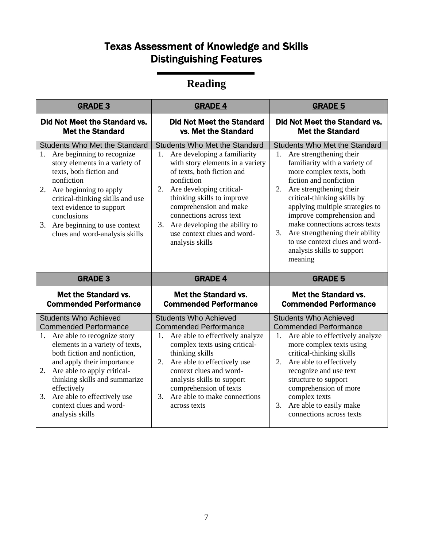## Texas Assessment of Knowledge and Skills Distinguishing Features

# **Reading**

| <b>GRADE 3</b>                                                                                                                                                                                                                                                                                                                    | <b>GRADE 4</b>                                                                                                                                                                                                                                                                                                                                                        | <b>GRADE 5</b>                                                                                                                                                                                                                                                                                                                                                                                                                                 |
|-----------------------------------------------------------------------------------------------------------------------------------------------------------------------------------------------------------------------------------------------------------------------------------------------------------------------------------|-----------------------------------------------------------------------------------------------------------------------------------------------------------------------------------------------------------------------------------------------------------------------------------------------------------------------------------------------------------------------|------------------------------------------------------------------------------------------------------------------------------------------------------------------------------------------------------------------------------------------------------------------------------------------------------------------------------------------------------------------------------------------------------------------------------------------------|
| Did Not Meet the Standard vs.<br><b>Met the Standard</b>                                                                                                                                                                                                                                                                          | <b>Did Not Meet the Standard</b><br>vs. Met the Standard                                                                                                                                                                                                                                                                                                              | Did Not Meet the Standard vs.<br><b>Met the Standard</b>                                                                                                                                                                                                                                                                                                                                                                                       |
| <b>Students Who Met the Standard</b><br>1. Are beginning to recognize<br>story elements in a variety of<br>texts, both fiction and<br>nonfiction<br>2. Are beginning to apply<br>critical-thinking skills and use<br>text evidence to support<br>conclusions<br>3. Are beginning to use context<br>clues and word-analysis skills | <b>Students Who Met the Standard</b><br>1. Are developing a familiarity<br>with story elements in a variety<br>of texts, both fiction and<br>nonfiction<br>Are developing critical-<br>2.<br>thinking skills to improve<br>comprehension and make<br>connections across text<br>3.<br>Are developing the ability to<br>use context clues and word-<br>analysis skills | <b>Students Who Met the Standard</b><br>1. Are strengthening their<br>familiarity with a variety of<br>more complex texts, both<br>fiction and nonfiction<br>Are strengthening their<br>2.<br>critical-thinking skills by<br>applying multiple strategies to<br>improve comprehension and<br>make connections across texts<br>Are strengthening their ability<br>3.<br>to use context clues and word-<br>analysis skills to support<br>meaning |
|                                                                                                                                                                                                                                                                                                                                   |                                                                                                                                                                                                                                                                                                                                                                       |                                                                                                                                                                                                                                                                                                                                                                                                                                                |
| <b>GRADE 3</b>                                                                                                                                                                                                                                                                                                                    | <b>GRADE 4</b>                                                                                                                                                                                                                                                                                                                                                        | <b>GRADE 5</b>                                                                                                                                                                                                                                                                                                                                                                                                                                 |
| Met the Standard vs.<br><b>Commended Performance</b>                                                                                                                                                                                                                                                                              | Met the Standard vs.<br><b>Commended Performance</b>                                                                                                                                                                                                                                                                                                                  | Met the Standard vs.<br><b>Commended Performance</b>                                                                                                                                                                                                                                                                                                                                                                                           |